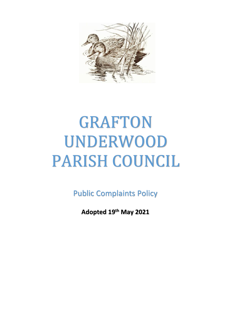

# GRAFTON UNDERWOOD PARISH COUNCIL

Public Complaints Policy

**Adopted 19th May 2021**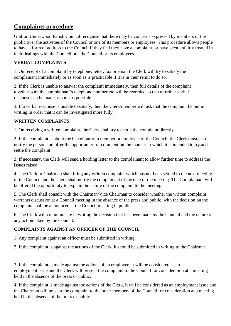# **Complaints procedure**

Grafton Underwood Parish Council recognise that there may be concerns expressed by members of the public over the activities of the Council or one of its members or employees. This procedure allows people to have a form of address to the Council if they feel they have a complaint, or have been unfairly treated in their dealings with the Councillors, the Council or its employees.

# **VERBAL COMPLAINTS**

1. On receipt of a complaint by telephone, letter, fax or email the Clerk will try to satisfy the complainant immediately or as soon as is practicable if it is in their remit to do so.

2. If the Clerk is unable to answer the complaint immediately, then full details of the complaint together with the complainant's telephone number etc will be recorded so that a further verbal response can be made as soon as possible.

3. If a verbal response is unable to satisfy, then the Clerk/member will ask that the complaint be put in writing in order that it can be investigated more fully.

#### **WRITTEN COMPLAINTS**

1. On receiving a written complaint, the Clerk shall try to settle the complaint directly.

2. If the complaint is about the behaviour of a member or employee of the Council, the Clerk must also notify the person and offer the opportunity for comment on the manner in which it is intended to try and settle the complaint.

3. If necessary, the Clerk will send a holding letter to the complainant to allow further time to address the issues raised.

4. The Clerk or Chairman shall bring any written complaint which has not been settled to the next meeting of the Council and the Clerk shall notify the complainant of the date of the meeting. The Complainant will be offered the opportunity to explain the nature of the complaint to the meeting.

5. The Clerk shall consult with the Chairman/Vice Chairman to consider whether the written complaint warrants discussion at a Council meeting in the absence of the press and public, with the decision on the complaint shall be announced at the Council meeting in public.

6. The Clerk will communicate in writing the decision that has been made by the Council and the nature of any action taken by the Council.

# **COMPLAINTS AGAINST AN OFFICER OF THE COUNCIL**

1. Any complaint against an officer must be submitted in writing.

2. If the complaint is against the actions of the Clerk, it should be submitted in writing to the Chairman.

3. If the complaint is made against the actions of an employee, it will be considered as an employment issue and the Clerk will present the complaint to the Council for consideration at a meeting held in the absence of the press or public.

4. If the complaint is made against the actions of the Clerk, it will be considered as an employment issue and the Chairman will present the complaint to the other members of the Council for consideration at a meeting held in the absence of the press or public.